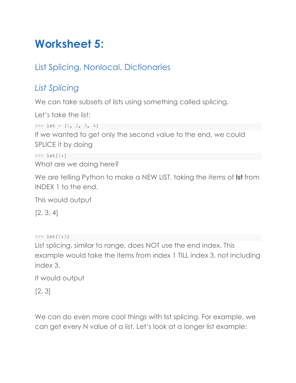# **Worksheet 5:**

# List Splicing, Nonlocal, Dictionaries

## *List Splicing*

We can take subsets of lists using something called splicing.

Let's take the list:

```
\gg lst = [1, 2, 3, 4]
```
If we wanted to get only the second value to the end, we could SPLICE it by doing

```
>>> lst[1:]
```
What are we doing here?

We are telling Python to make a NEW LIST, taking the items of **lst** from INDEX 1 to the end.

This would output

[2, 3, 4]

>>> lst[1:3]

List splicing, similar to range, does NOT use the end index. This example would take the items from index 1 TILL index 3, not including index 3.

It would output

[2, 3]

We can do even more cool things with list splicing. For example, we can get every N value of a list. Let's look at a longer list example: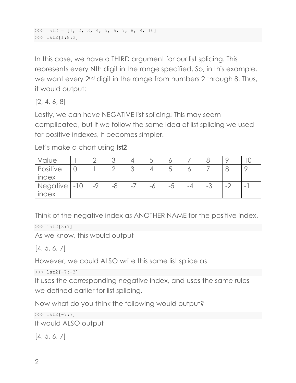$\gg$  lst2 = [1, 2, 3, 4, 5, 6, 7, 8, 9, 10] >>> lst2[1:8:2]

In this case, we have a THIRD argument for our list splicing. This represents every Nth digit in the range specified. So, in this example, we want every 2<sup>nd</sup> digit in the range from numbers 2 through 8. Thus, it would output:

[2, 4, 6, 8]

Lastly, we can have NEGATIVE list splicing! This may seem complicated, but if we follow the same idea of list splicing we used for positive indexes, it becomes simpler.

Let's make a chart using **lst2**

| <i>Value</i> |      |      |      | J  |                          |    |                          |   |   |
|--------------|------|------|------|----|--------------------------|----|--------------------------|---|---|
| Positive     |      |      |      |    | $\overline{\phantom{0}}$ |    |                          |   |   |
| index        |      |      |      |    |                          |    |                          |   |   |
| Negative -10 | $-9$ | $-8$ | $-1$ | -0 | -5                       | -4 | $\overline{\phantom{a}}$ | - | - |
| index        |      |      |      |    |                          |    |                          |   |   |

Think of the negative index as ANOTHER NAME for the positive index.

```
>>> lst2[3:7]
```
As we know, this would output

[4, 5, 6, 7]

However, we could ALSO write this same list splice as

 $>>$  lst2[-7:-3]

It uses the corresponding negative index, and uses the same rules we defined earlier for list splicing.

Now what do you think the following would output?

```
>>> lst2[-7:7]
It would ALSO output
```
[4, 5, 6, 7]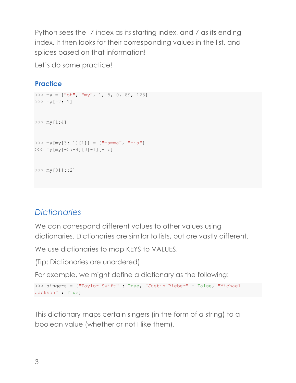Python sees the -7 index as its starting index, and 7 as its ending index. It then looks for their corresponding values in the list, and splices based on that information!

Let's do some practice!

### **Practice**

```
>>> my = ["oh", "my", 1, 5, 0, 89, 123]
>>> my[-2:-1]>>> my[1:4]
>>> my[my[3:-1][1]] = ["mamma", "mia"]
>>> my[my[-5:-4][0]-1][-1:]
>> my[0][::2]
```
## *Dictionaries*

We can correspond different values to other values using dictionaries. Dictionaries are similar to lists, but are vastly different.

We use dictionaries to map KEYS to VALUES.

(Tip: Dictionaries are unordered)

For example, we might define a dictionary as the following:

```
>>> singers = {"Taylor Swift" : True, "Justin Bieber" : False, "Michael 
Jackson" : True}
```
This dictionary maps certain singers (in the form of a string) to a boolean value (whether or not I like them).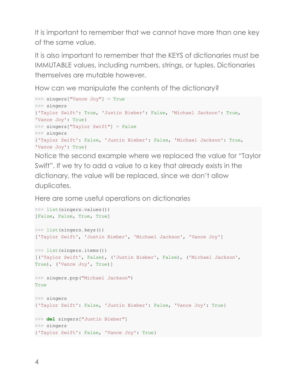It is important to remember that we cannot have more than one key of the same value.

It is also important to remember that the KEYS of dictionaries must be IMMUTABLE values, including numbers, strings, or tuples. Dictionaries themselves are mutable however.

How can we manipulate the contents of the dictionary?

```
>>> singers["Vance Joy"] = True
>>> singers
{'Taylor Swift': True, 'Justin Bieber': False, 'Michael Jackson': True, 
'Vance Joy': True}
>>> singers["Taylor Swift"] = False
>>> singers
{'Taylor Swift': False, 'Justin Bieber': False, 'Michael Jackson': True, 
'Vance Joy': True}
```
Notice the second example where we replaced the value for "Taylor Swift". If we try to add a value to a key that already exists in the dictionary, the value will be replaced, since we don't allow duplicates.

Here are some useful operations on dictionaries

```
>>> list(singers.values())
[False, False, True, True]
>>> list(singers.keys())
['Taylor Swift', 'Justin Bieber', 'Michael Jackson', 'Vance Joy']
>>> list(singers.items())
[('Taylor Swift', False), ('Justin Bieber', False), ('Michael Jackson', 
True), ('Vance Joy', True)]
>>> singers.pop("Michael Jackson")
True
>>> singers
{'Taylor Swift': False, 'Justin Bieber': False, 'Vance Joy': True}
>>> del singers["Justin Bieber"]
>>> singers
{'Taylor Swift': False, 'Vance Joy': True}
```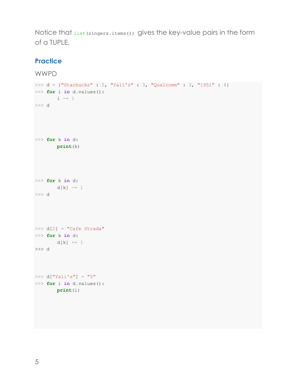Notice that list(singers.items()) gives the key-value pairs in the form of a TUPLE.

#### **Practice**

```
WWPD
>>> d = {"Starbucks" : 5, "Yali's" : 3, "Qualcomm" : 3, "1951" : 4}
>>> for i in d.values():
     i - 1
>>> d
>>> for k in d:
      print(k)
>>> for k in d:
  d[k] -= 1
>>> d
>>> d[2] = "Cafe Strada"
>>> for k in d:
      d[k] += 1
>>> d
>>> d['Yali's"] = "5">>> for i in d.values():
      print(i)
```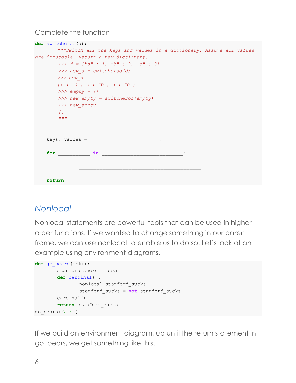#### Complete the function

| are immutable. Return a new dictionary.<br>>>> $d = \{ "a" : 1, "b" : 2, "c" : 3 \}$<br>$\gg$ new $d =$ switcheroo(d)<br>$>>$ new d<br>$\{1 : "a", 2 : "b", 3 : "c"\}$<br>$\gg\gg$ empty = {}<br>>>> new empty = switcheroo (empty)<br>>>> new empty<br>$\{ \}$<br>11.11.11<br>$\mathbf{r} = \mathbf{r} \cdot \mathbf{r}$ and $\mathbf{r} = \mathbf{r} \cdot \mathbf{r}$ and $\mathbf{r} = \mathbf{r} \cdot \mathbf{r}$<br>keys, values =<br>for in |  | def switcheroo(d):                                                   |  |  |  |  |  |  |  |  |  |  |
|-----------------------------------------------------------------------------------------------------------------------------------------------------------------------------------------------------------------------------------------------------------------------------------------------------------------------------------------------------------------------------------------------------------------------------------------------------|--|----------------------------------------------------------------------|--|--|--|--|--|--|--|--|--|--|
|                                                                                                                                                                                                                                                                                                                                                                                                                                                     |  | """Switch all the keys and values in a dictionary. Assume all values |  |  |  |  |  |  |  |  |  |  |
|                                                                                                                                                                                                                                                                                                                                                                                                                                                     |  |                                                                      |  |  |  |  |  |  |  |  |  |  |
|                                                                                                                                                                                                                                                                                                                                                                                                                                                     |  |                                                                      |  |  |  |  |  |  |  |  |  |  |
|                                                                                                                                                                                                                                                                                                                                                                                                                                                     |  |                                                                      |  |  |  |  |  |  |  |  |  |  |
|                                                                                                                                                                                                                                                                                                                                                                                                                                                     |  |                                                                      |  |  |  |  |  |  |  |  |  |  |
|                                                                                                                                                                                                                                                                                                                                                                                                                                                     |  |                                                                      |  |  |  |  |  |  |  |  |  |  |
|                                                                                                                                                                                                                                                                                                                                                                                                                                                     |  |                                                                      |  |  |  |  |  |  |  |  |  |  |
|                                                                                                                                                                                                                                                                                                                                                                                                                                                     |  |                                                                      |  |  |  |  |  |  |  |  |  |  |
|                                                                                                                                                                                                                                                                                                                                                                                                                                                     |  |                                                                      |  |  |  |  |  |  |  |  |  |  |
|                                                                                                                                                                                                                                                                                                                                                                                                                                                     |  |                                                                      |  |  |  |  |  |  |  |  |  |  |
|                                                                                                                                                                                                                                                                                                                                                                                                                                                     |  |                                                                      |  |  |  |  |  |  |  |  |  |  |
|                                                                                                                                                                                                                                                                                                                                                                                                                                                     |  |                                                                      |  |  |  |  |  |  |  |  |  |  |
|                                                                                                                                                                                                                                                                                                                                                                                                                                                     |  |                                                                      |  |  |  |  |  |  |  |  |  |  |
|                                                                                                                                                                                                                                                                                                                                                                                                                                                     |  |                                                                      |  |  |  |  |  |  |  |  |  |  |
|                                                                                                                                                                                                                                                                                                                                                                                                                                                     |  |                                                                      |  |  |  |  |  |  |  |  |  |  |
|                                                                                                                                                                                                                                                                                                                                                                                                                                                     |  |                                                                      |  |  |  |  |  |  |  |  |  |  |
|                                                                                                                                                                                                                                                                                                                                                                                                                                                     |  |                                                                      |  |  |  |  |  |  |  |  |  |  |
|                                                                                                                                                                                                                                                                                                                                                                                                                                                     |  |                                                                      |  |  |  |  |  |  |  |  |  |  |
|                                                                                                                                                                                                                                                                                                                                                                                                                                                     |  |                                                                      |  |  |  |  |  |  |  |  |  |  |
| return                                                                                                                                                                                                                                                                                                                                                                                                                                              |  |                                                                      |  |  |  |  |  |  |  |  |  |  |

### *Nonlocal*

Nonlocal statements are powerful tools that can be used in higher order functions. If we wanted to change something in our parent frame, we can use nonlocal to enable us to do so. Let's look at an example using environment diagrams.

```
def go_bears(oski):
       stanford_sucks = oski
       def cardinal():
               nonlocal stanford_sucks
               stanford_sucks = not stanford_sucks
       cardinal()
       return stanford_sucks
go_bears(False)
```
If we build an environment diagram, up until the return statement in go\_bears, we get something like this.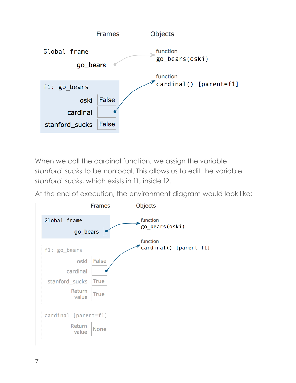

When we call the cardinal function, we assign the variable *stanford\_sucks* to be nonlocal. This allows us to edit the variable *stanford\_sucks*, which exists in f1, inside f2.

At the end of execution, the environment diagram would look like:

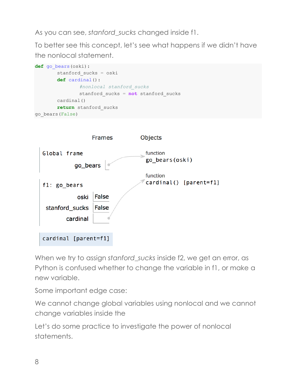As you can see, *stanford\_sucks* changed inside f1.

To better see this concept, let's see what happens if we didn't have the nonlocal statement.

```
def go_bears(oski):
       stanford_sucks = oski
       def cardinal():
               #nonlocal stanford_sucks
               stanford_sucks = not stanford_sucks
       cardinal()
       return stanford_sucks
go_bears(False)
```


When we try to assign *stanford* sucks inside f2, we get an error, as Python is confused whether to change the variable in f1, or make a new variable.

Some important edge case:

We cannot change global variables using nonlocal and we cannot change variables inside the

Let's do some practice to investigate the power of nonlocal statements.